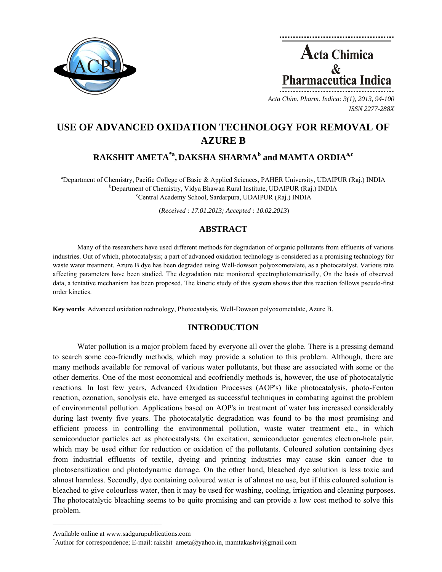



*ISSN 2277-288X*

# **USE OF ADVANCED OXIDATION TECHNOLOGY FOR REMOVAL OF AZURE B**

# **RAKSHIT AMETA\*a, DAKSHA SHARMAb and MAMTA ORDIAa,c**

<sup>a</sup>Department of Chemistry, Pacific College of Basic & Applied Sciences, PAHER University, UDAIPUR (Raj.) INDIA by Department of Chemistry, Vidya Bhayan Bural Institute, UDAIPUR (Raj.) NDIA <sup>b</sup>Department of Chemistry, Vidya Bhawan Rural Institute, UDAIPUR (Raj.) INDIA <sup>c</sup>Central Academy School, Sardarpura, UDAIPUR (Raj.) INDIA

(*Received : 17.01.2013; Accepted : 10.02.2013*)

# **ABSTRACT**

Many of the researchers have used different methods for degradation of organic pollutants from effluents of various industries. Out of which, photocatalysis; a part of advanced oxidation technology is considered as a promising technology for waste water treatment. Azure B dye has been degraded using Well-dowson polyoxometalate, as a photocatalyst. Various rate affecting parameters have been studied. The degradation rate monitored spectrophotometrically, On the basis of observed data, a tentative mechanism has been proposed. The kinetic study of this system shows that this reaction follows pseudo-first order kinetics.

**Key words**: Advanced oxidation technology, Photocatalysis, Well-Dowson polyoxometalate, Azure B.

# **INTRODUCTION**

Water pollution is a major problem faced by everyone all over the globe. There is a pressing demand to search some eco-friendly methods, which may provide a solution to this problem. Although, there are many methods available for removal of various water pollutants, but these are associated with some or the other demerits. One of the most economical and ecofriendly methods is, however, the use of photocatalytic reactions. In last few years, Advanced Oxidation Processes (AOP's) like photocatalysis, photo-Fenton reaction, ozonation, sonolysis etc, have emerged as successful techniques in combating against the problem of environmental pollution. Applications based on AOP's in treatment of water has increased considerably during last twenty five years. The photocatalytic degradation was found to be the most promising and efficient process in controlling the environmental pollution, waste water treatment etc., in which semiconductor particles act as photocatalysts. On excitation, semiconductor generates electron-hole pair, which may be used either for reduction or oxidation of the pollutants. Coloured solution containing dyes from industrial effluents of textile, dyeing and printing industries may cause skin cancer due to photosensitization and photodynamic damage. On the other hand, bleached dye solution is less toxic and almost harmless. Secondly, dye containing coloured water is of almost no use, but if this coloured solution is bleached to give colourless water, then it may be used for washing, cooling, irrigation and cleaning purposes. The photocatalytic bleaching seems to be quite promising and can provide a low cost method to solve this problem.

**\_\_\_\_\_\_\_\_\_\_\_\_\_\_\_\_\_\_\_\_\_\_\_\_\_\_\_\_\_\_\_\_\_\_\_\_\_\_\_\_**

Available online at www.sadgurupublications.com \*

<sup>\*</sup>Author for correspondence; E-mail: rakshit\_ameta@yahoo.in, mamtakashvi@gmail.com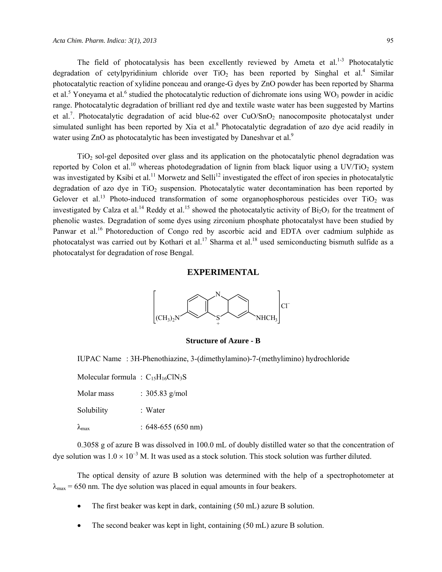The field of photocatalysis has been excellently reviewed by Ameta et al. $1-3$  Photocatalytic degradation of cetylpyridinium chloride over  $TiO<sub>2</sub>$  has been reported by Singhal et al.<sup>4</sup> Similar photocatalytic reaction of xylidine ponceau and orange-G dyes by ZnO powder has been reported by Sharma et al.<sup>5</sup> Yoneyama et al.<sup>6</sup> studied the photocatalytic reduction of dichromate ions using WO<sub>3</sub> powder in acidic range. Photocatalytic degradation of brilliant red dye and textile waste water has been suggested by Martins et al.<sup>7</sup>. Photocatalytic degradation of acid blue-62 over  $CuO/SnO<sub>2</sub>$  nanocomposite photocatalyst under simulated sunlight has been reported by Xia et al.<sup>8</sup> Photocatalytic degradation of azo dye acid readily in water using  $ZnO$  as photocatalytic has been investigated by Daneshvar et al.<sup>9</sup>

 $TiO<sub>2</sub>$  sol-gel deposited over glass and its application on the photocatalytic phenol degradation was reported by Colon et al.<sup>10</sup> whereas photodegradation of lignin from black liquor using a UV/TiO<sub>2</sub> system was investigated by Ksibi et al.<sup>11</sup> Morwetz and Selli<sup>12</sup> investigated the effect of iron species in photocatalytic degradation of azo dye in TiO<sub>2</sub> suspension. Photocatalytic water decontamination has been reported by Gelover et al.<sup>13</sup> Photo-induced transformation of some organophosphorous pesticides over TiO<sub>2</sub> was investigated by Calza et al.<sup>14</sup> Reddy et al.<sup>15</sup> showed the photocatalytic activity of  $Bi_2O_3$  for the treatment of phenolic wastes. Degradation of some dyes using zirconium phosphate photocatalyst have been studied by Panwar et al.<sup>16</sup> Photoreduction of Congo red by ascorbic acid and EDTA over cadmium sulphide as photocatalyst was carried out by Kothari et al.<sup>17</sup> Sharma et al.<sup>18</sup> used semiconducting bismuth sulfide as a photocatalyst for degradation of rose Bengal.

# **EXPERIMENTAL**



**Structure of Azure - B** 

IUPAC Name : 3H-Phenothiazine, 3-(dimethylamino)-7-(methylimino) hydrochloride

Molecular formula :  $C_{15}H_{16}C1N_3S$ 

Molar mass : 305.83 g/mol

Solubility : Water

 $\lambda_{\text{max}}$  : 648-655 (650 nm)

0.3058 g of azure B was dissolved in 100.0 mL of doubly distilled water so that the concentration of dye solution was  $1.0 \times 10^{-3}$  M. It was used as a stock solution. This stock solution was further diluted.

The optical density of azure B solution was determined with the help of a spectrophotometer at  $\lambda_{\text{max}}$  = 650 nm. The dye solution was placed in equal amounts in four beakers.

- The first beaker was kept in dark, containing (50 mL) azure B solution.
- The second beaker was kept in light, containing (50 mL) azure B solution.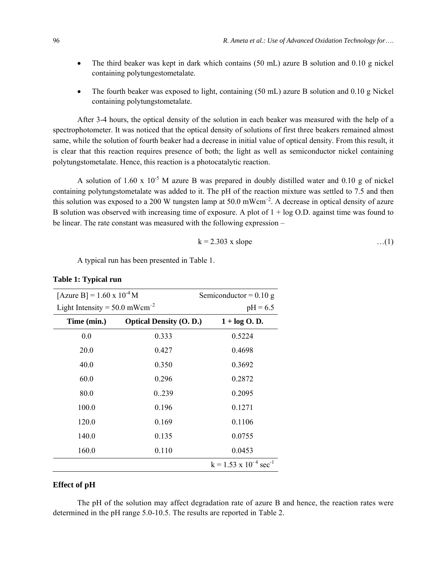- The third beaker was kept in dark which contains (50 mL) azure B solution and 0.10 g nickel containing polytungestometalate.
- The fourth beaker was exposed to light, containing (50 mL) azure B solution and 0.10 g Nickel containing polytungstometalate.

After 3-4 hours, the optical density of the solution in each beaker was measured with the help of a spectrophotometer. It was noticed that the optical density of solutions of first three beakers remained almost same, while the solution of fourth beaker had a decrease in initial value of optical density. From this result, it is clear that this reaction requires presence of both; the light as well as semiconductor nickel containing polytungstometalate. Hence, this reaction is a photocatalytic reaction.

A solution of  $1.60 \times 10^{-5}$  M azure B was prepared in doubly distilled water and 0.10 g of nickel containing polytungstometalate was added to it. The pH of the reaction mixture was settled to 7.5 and then this solution was exposed to a 200 W tungsten lamp at 50.0 mWcm<sup>-2</sup>. A decrease in optical density of azure B solution was observed with increasing time of exposure. A plot of  $1 + log O.D$  against time was found to be linear. The rate constant was measured with the following expression –

$$
k = 2.303
$$
 x slope ... (1)

A typical run has been presented in Table 1.

| [Azure B] = $1.60 \times 10^{-4}$ M         |                                | Semiconductor = $0.10$ g                    |
|---------------------------------------------|--------------------------------|---------------------------------------------|
| Light Intensity = $50.0$ mWcm <sup>-2</sup> |                                | $pH = 6.5$                                  |
| Time (min.)                                 | <b>Optical Density (O. D.)</b> | $1 + \log O$ . D.                           |
| 0.0                                         | 0.333                          | 0.5224                                      |
| 20.0                                        | 0.427                          | 0.4698                                      |
| 40.0                                        | 0.350                          | 0.3692                                      |
| 60.0                                        | 0.296                          | 0.2872                                      |
| 80.0                                        | 0.239                          | 0.2095                                      |
| 100.0                                       | 0.196                          | 0.1271                                      |
| 120.0                                       | 0.169                          | 0.1106                                      |
| 140.0                                       | 0.135                          | 0.0755                                      |
| 160.0                                       | 0.110                          | 0.0453                                      |
|                                             |                                | $k = 1.53 \times 10^{-4}$ sec <sup>-1</sup> |

### **Table 1: Typical run**

#### **Effect of pH**

The pH of the solution may affect degradation rate of azure B and hence, the reaction rates were determined in the pH range 5.0-10.5. The results are reported in Table 2.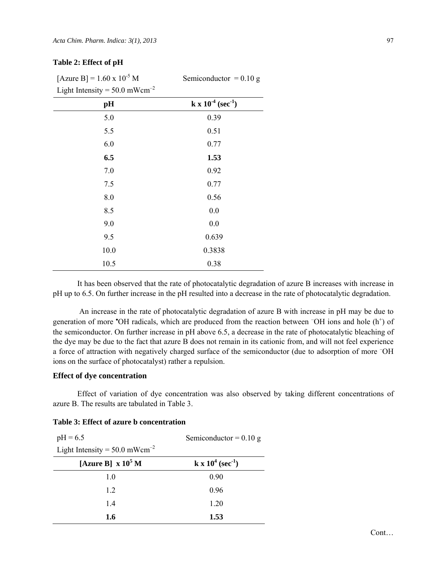|  |  | Table 2: Effect of pH |  |
|--|--|-----------------------|--|
|--|--|-----------------------|--|

[Azure B] =  $1.60 \times 10^{-5}$  M

| $\sim$ $\sim$ $\sim$                    |
|-----------------------------------------|
|                                         |
| $k \times 10^{-4}$ (sec <sup>-1</sup> ) |
| 0.39                                    |
| 0.51                                    |
| 0.77                                    |
| 1.53                                    |
| 0.92                                    |
| 0.77                                    |
| 0.56                                    |
| 0.0                                     |
| 0.0                                     |
| 0.639                                   |
| 0.3838                                  |
| 0.38                                    |
|                                         |

It has been observed that the rate of photocatalytic degradation of azure B increases with increase in pH up to 6.5. On further increase in the pH resulted into a decrease in the rate of photocatalytic degradation.

Semiconductor =  $0.10 \text{ g}$ 

 An increase in the rate of photocatalytic degradation of azure B with increase in pH may be due to generation of more  $\bullet$ OH radicals, which are produced from the reaction between  $\circ$ OH ions and hole (h<sup>+</sup>) of the semiconductor. On further increase in pH above 6.5, a decrease in the rate of photocatalytic bleaching of the dye may be due to the fact that azure B does not remain in its cationic from, and will not feel experience a force of attraction with negatively charged surface of the semiconductor (due to adsorption of more <sup>-</sup>OH ions on the surface of photocatalyst) rather a repulsion.

#### **Effect of dye concentration**

Effect of variation of dye concentration was also observed by taking different concentrations of azure B. The results are tabulated in Table 3.

# **Table 3: Effect of azure b concentration**

| $pH = 6.5$                                  | Semiconductor = $0.10$ g             |  |
|---------------------------------------------|--------------------------------------|--|
| Light Intensity = $50.0$ mWcm <sup>-2</sup> |                                      |  |
| [Azure B] $\ge 10^5$ M                      | $k \times 10^4$ (sec <sup>-1</sup> ) |  |
| 1.0                                         | 0.90                                 |  |
| 12                                          | 0.96                                 |  |
| 14                                          | 1.20                                 |  |
| 1.6                                         | 1.53                                 |  |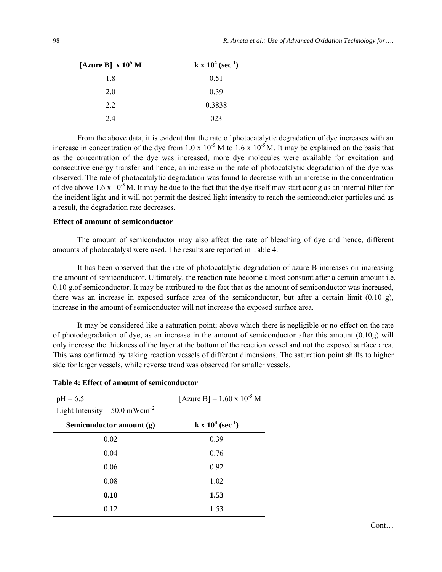| [Azure B] $\ge 10^5$ M | $k \times 10^4$ (sec <sup>-1</sup> ) |
|------------------------|--------------------------------------|
| 1.8                    | 0.51                                 |
| 2.0                    | 0.39                                 |
| 2.2                    | 0.3838                               |
| 24                     | 023                                  |

From the above data, it is evident that the rate of photocatalytic degradation of dye increases with an increase in concentration of the dye from 1.0 x  $10^{-5}$  M to 1.6 x  $10^{-5}$  M. It may be explained on the basis that as the concentration of the dye was increased, more dye molecules were available for excitation and consecutive energy transfer and hence, an increase in the rate of photocatalytic degradation of the dye was observed. The rate of photocatalytic degradation was found to decrease with an increase in the concentration of dye above 1.6 x  $10^{-5}$  M. It may be due to the fact that the dye itself may start acting as an internal filter for the incident light and it will not permit the desired light intensity to reach the semiconductor particles and as a result, the degradation rate decreases.

#### **Effect of amount of semiconductor**

The amount of semiconductor may also affect the rate of bleaching of dye and hence, different amounts of photocatalyst were used. The results are reported in Table 4.

It has been observed that the rate of photocatalytic degradation of azure B increases on increasing the amount of semiconductor. Ultimately, the reaction rate become almost constant after a certain amount i.e. 0.10 g.of semiconductor. It may be attributed to the fact that as the amount of semiconductor was increased, there was an increase in exposed surface area of the semiconductor, but after a certain limit  $(0.10 \text{ g})$ , increase in the amount of semiconductor will not increase the exposed surface area.

It may be considered like a saturation point; above which there is negligible or no effect on the rate of photodegradation of dye, as an increase in the amount of semiconductor after this amount (0.10g) will only increase the thickness of the layer at the bottom of the reaction vessel and not the exposed surface area. This was confirmed by taking reaction vessels of different dimensions. The saturation point shifts to higher side for larger vessels, while reverse trend was observed for smaller vessels.

#### **Table 4: Effect of amount of semiconductor**

| $pH = 6.5$                                  | [Azure B] = $1.60 \times 10^{-5}$ M  |  |
|---------------------------------------------|--------------------------------------|--|
| Light Intensity = $50.0$ mWcm <sup>-2</sup> |                                      |  |
| Semiconductor amount (g)                    | $k \times 10^4$ (sec <sup>-1</sup> ) |  |
| 0.02                                        | 0.39                                 |  |
| 0.04                                        | 0.76                                 |  |
| 0.06                                        | 0.92                                 |  |
| 0.08                                        | 1.02                                 |  |
| 0.10                                        | 1.53                                 |  |
| 0.12                                        | 1.53                                 |  |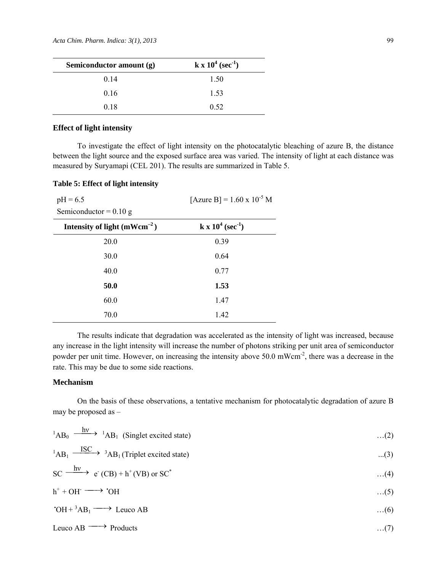| Semiconductor amount (g) | $k \times 10^4$ (sec <sup>-1</sup> ) |
|--------------------------|--------------------------------------|
| 0.14                     | 1.50                                 |
| 0.16                     | 1.53                                 |
| 0.18                     | 0.52                                 |

## **Effect of light intensity**

To investigate the effect of light intensity on the photocatalytic bleaching of azure B, the distance between the light source and the exposed surface area was varied. The intensity of light at each distance was measured by Suryamapi (CEL 201). The results are summarized in Table 5.

### **Table 5: Effect of light intensity**

| $pH = 6.5$                       | [Azure B] = $1.60 \times 10^{-5}$ M  |  |
|----------------------------------|--------------------------------------|--|
| Semiconductor = $0.10$ g         |                                      |  |
| Intensity of light $(mWcm^{-2})$ | $k \times 10^4$ (sec <sup>-1</sup> ) |  |
| 20.0                             | 0.39                                 |  |
| 30.0                             | 0.64                                 |  |
| 40.0                             | 0.77                                 |  |
| 50.0                             | 1.53                                 |  |
| 60.0                             | 1.47                                 |  |
| 70.0                             | 1.42                                 |  |

The results indicate that degradation was accelerated as the intensity of light was increased, because any increase in the light intensity will increase the number of photons striking per unit area of semiconductor powder per unit time. However, on increasing the intensity above 50.0 mWcm-2, there was a decrease in the rate. This may be due to some side reactions.

# **Mechanism**

On the basis of these observations, a tentative mechanism for photocatalytic degradation of azure B may be proposed as –

|  | ${}^{1}AB_{0} \xrightarrow{\text{hv}} {}^{1}AB_{1}$ (Singlet excited state) | $\dots(2)$ |
|--|-----------------------------------------------------------------------------|------------|

 ${}^{1}AB_{1} \xrightarrow{ISC} {}^{3}AB_{1}$  (Triplet excited state) ...(3)

$$
SC \xrightarrow{hv} e (CB) + h^+(VB) \text{ or } SC^* \qquad \qquad \dots (4)
$$

$$
h^+ + OH^- \longrightarrow {}^*OH \qquad \qquad \dots (5)
$$

 $\cdot$ OH +  ${}^3$ AB<sub>1</sub>  $\longrightarrow$  Leuco AB ….(6)

$$
Leuco AB \longrightarrow Products
$$
...(7)